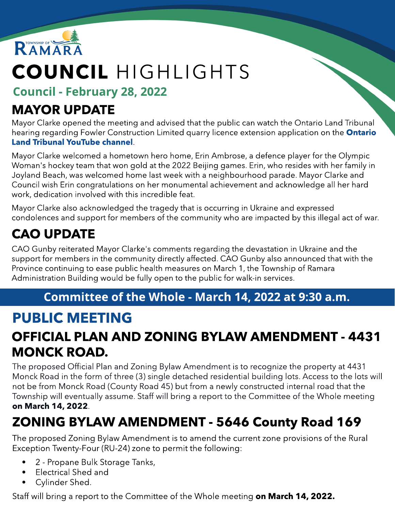

# COUNCIL HIGHLIGHTS

Council - February 28, 2022

### MAYOR UPDATE

Mayor Clarke opened the meeting and advised that the public can watch the Ontario Land Tribunal hearing regarding Fowler Construction Limited quarry licence extension application on the **[Ontario](https://www.youtube.com/channel/UCxDAcq6BD8wgOUfSV-yGVRA)** [Land](https://www.youtube.com/channel/UCxDAcq6BD8wgOUfSV-yGVRA) [Tribunal](https://www.youtube.com/channel/UCxDAcq6BD8wgOUfSV-yGVRA) [YouTube](https://www.youtube.com/channel/UCxDAcq6BD8wgOUfSV-yGVRA) [channel](https://www.youtube.com/channel/UCxDAcq6BD8wgOUfSV-yGVRA).

Mayor Clarke welcomed a hometown hero home, Erin Ambrose, a defence player for the Olympic Woman's hockey team that won gold at the 2022 Beijing games. Erin, who resides with her family in Joyland Beach, was welcomed home last week with a neighbourhood parade. Mayor Clarke and Council wish Erin congratulations on her monumental achievement and acknowledge all her hard work, dedication involved with this incredible feat.

Mayor Clarke also acknowledged the tragedy that is occurring in Ukraine and expressed condolences and support for members of the community who are impacted by this illegal act of war.

# CAO UPDATE

CAO Gunby reiterated Mayor Clarke's comments regarding the devastation in Ukraine and the support for members in the community directly affected. CAO Gunby also announced that with the Province continuing to ease public health measures on March 1, the Township of Ramara Administration Building would be fully open to the public for walk-in services.

#### Committee of the Whole - March 14, 2022 at 9:30 a.m.

# PUBLIC MEETING

#### OFFICIAL PLAN AND ZONING BYLAW AMENDMENT - 4431 MONCK ROAD.

The proposed Official Plan and Zoning Bylaw Amendment is to recognize the property at 4431 Monck Road in the form of three (3) single detached residential building lots. Access to the lots will not be from Monck Road (County Road 45) but from a newly constructed internal road that the Township will eventually assume. Staff will bring a report to the Committee of the Whole meeting on March 14, 2022.

### ZONING BYLAW AMENDMENT - 5646 County Road 169

The proposed Zoning Bylaw Amendment is to amend the current zone provisions of the Rural Exception Twenty-Four (RU-24) zone to permit the following:

- 2 Propane Bulk Storage Tanks,
- Electrical Shed and
- Cylinder Shed.

Staff will bring a report to the Committee of the Whole meeting on March 14, 2022.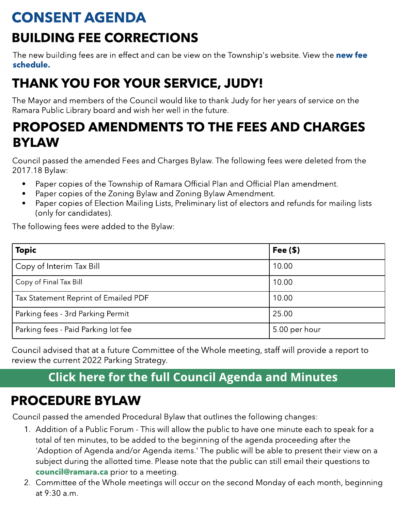# CONSENT AGENDA

### BUILDING FEE CORRECTIONS

The [new](https://www.ramara.ca/en/business-and-development/resources/Documents/2022-Schedule-A-BLDG-FEES.pdf) building [fee](https://www.ramara.ca/en/business-and-development/resources/Documents/2022-Schedule-A-BLDG-FEES.pdf)s are in effect and can be view on the Township's website. View the new fee [schedule.](https://www.ramara.ca/en/business-and-development/resources/Documents/2022-Schedule-A-BLDG-FEES.pdf)

# THANK YOU FOR YOUR SERVICE, JUDY!

The Mayor and members of the Council would like to thank Judy for her years of service on the Ramara Public Library board and wish her well in the future.

#### PROPOSED AMENDMENTS TO THE FEES AND CHARGES BYLAW

Council passed the amended Fees and Charges Bylaw. The following fees were deleted from the 2017.18 Bylaw:

- Paper copies of the Township of Ramara Official Plan and Official Plan amendment.
- Paper copies of the Zoning Bylaw and Zoning Bylaw Amendment.
- Paper copies of Election Mailing Lists, Preliminary list of electors and refunds for mailing lists (only for candidates).

The following fees were added to the Bylaw:

| <b>Topic</b>                         | Fee $(\$)$    |
|--------------------------------------|---------------|
| Copy of Interim Tax Bill             | 10.00         |
| Copy of Final Tax Bill               | 10.00         |
| Tax Statement Reprint of Emailed PDF | 10.00         |
| Parking fees - 3rd Parking Permit    | 25.00         |
| Parking fees - Paid Parking lot fee  | 5.00 per hour |

Council advised that at a future Committee of the Whole meeting, staff will provide a report to review the current 2022 Parking Strategy.

#### **[Click](https://ramara.civicweb.net/portal/) [here](https://ramara.civicweb.net/portal/) [for](https://ramara.civicweb.net/portal/) t[he](https://ramara.civicweb.net/portal/) [full](https://ramara.civicweb.net/portal/) [Council](https://ramara.civicweb.net/portal/) [Agenda](https://ramara.civicweb.net/portal/) [and](https://ramara.civicweb.net/portal/) [Minut](https://ramara.civicweb.net/portal/)es**

#### PROCEDURE BYLAW

Council passed the amended Procedural Bylaw that outlines the following changes:

- 1. Addition of a Public Forum This will allow the public to have one minute each to speak for a total of ten minutes, to be added to the beginning of the agenda proceeding after the 'Adoption of Agenda and/or Agenda items.' The public will be able to present their view on a subject during the allotted time. Please note that the public can still email their questions to [council@ramara.ca](mailto:council@ramara.ca) prior to a meeting.
- 2. Committee of the Whole meetings will occur on the second Monday of each month, beginning at 9:30 a.m.